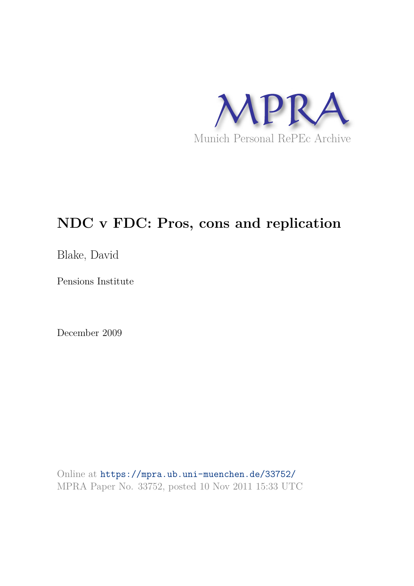

## **NDC v FDC: Pros, cons and replication**

Blake, David

Pensions Institute

December 2009

Online at https://mpra.ub.uni-muenchen.de/33752/ MPRA Paper No. 33752, posted 10 Nov 2011 15:33 UTC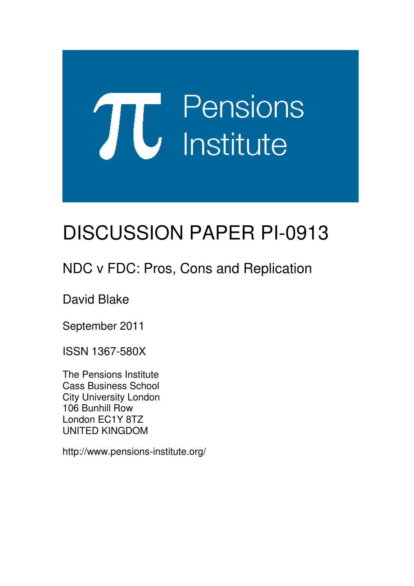# Pensions **TU** Pension

# DISCUSSION PAPER PI-0913

## NDC v FDC: Pros, Cons and Replication

David Blake

September 2011

ISSN 1367-580X

The Pensions Institute Cass Business School City University London 106 Bunhill Row London EC1Y 8TZ UNITED KINGDOM

http://www.pensions-institute.org/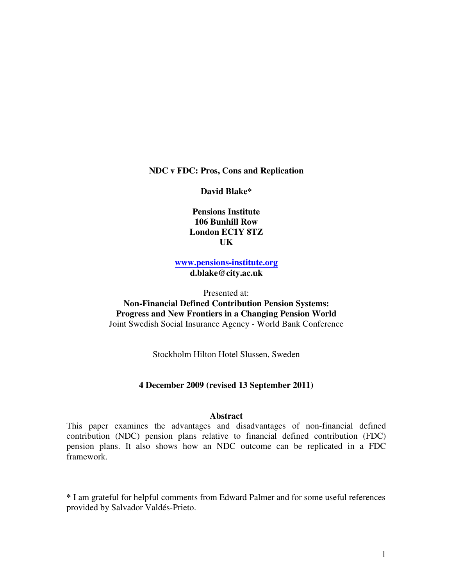**NDC v FDC: Pros, Cons and Replication** 

**David Blake\*** 

**Pensions Institute 106 Bunhill Row London EC1Y 8TZ UK**

**www.pensions-institute.org d.blake@city.ac.uk** 

Presented at:

**Non-Financial Defined Contribution Pension Systems: Progress and New Frontiers in a Changing Pension World**  Joint Swedish Social Insurance Agency - World Bank Conference

Stockholm Hilton Hotel Slussen, Sweden

#### **4 December 2009 (revised 13 September 2011)**

#### **Abstract**

This paper examines the advantages and disadvantages of non-financial defined contribution (NDC) pension plans relative to financial defined contribution (FDC) pension plans. It also shows how an NDC outcome can be replicated in a FDC framework.

**\*** I am grateful for helpful comments from Edward Palmer and for some useful references provided by Salvador Valdés-Prieto.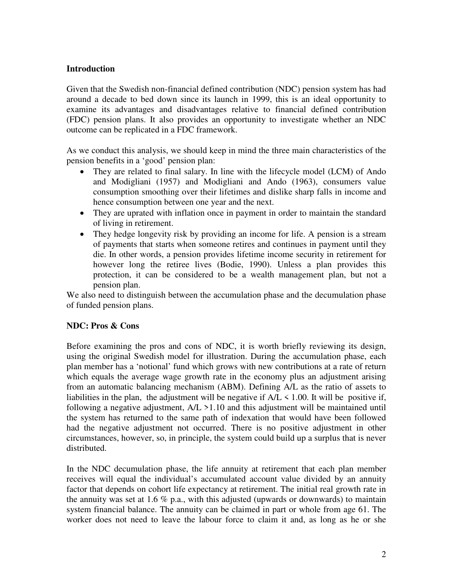#### **Introduction**

Given that the Swedish non-financial defined contribution (NDC) pension system has had around a decade to bed down since its launch in 1999, this is an ideal opportunity to examine its advantages and disadvantages relative to financial defined contribution (FDC) pension plans. It also provides an opportunity to investigate whether an NDC outcome can be replicated in a FDC framework.

As we conduct this analysis, we should keep in mind the three main characteristics of the pension benefits in a 'good' pension plan:

- They are related to final salary. In line with the lifecycle model (LCM) of Ando and Modigliani (1957) and Modigliani and Ando (1963), consumers value consumption smoothing over their lifetimes and dislike sharp falls in income and hence consumption between one year and the next.
- They are uprated with inflation once in payment in order to maintain the standard of living in retirement.
- They hedge longevity risk by providing an income for life. A pension is a stream of payments that starts when someone retires and continues in payment until they die. In other words, a pension provides lifetime income security in retirement for however long the retiree lives (Bodie, 1990). Unless a plan provides this protection, it can be considered to be a wealth management plan, but not a pension plan.

We also need to distinguish between the accumulation phase and the decumulation phase of funded pension plans.

#### **NDC: Pros & Cons**

Before examining the pros and cons of NDC, it is worth briefly reviewing its design, using the original Swedish model for illustration. During the accumulation phase, each plan member has a 'notional' fund which grows with new contributions at a rate of return which equals the average wage growth rate in the economy plus an adjustment arising from an automatic balancing mechanism (ABM). Defining A/L as the ratio of assets to liabilities in the plan, the adjustment will be negative if  $A/L \le 1.00$ . It will be positive if, following a negative adjustment,  $A/L > 1.10$  and this adjustment will be maintained until the system has returned to the same path of indexation that would have been followed had the negative adjustment not occurred. There is no positive adjustment in other circumstances, however, so, in principle, the system could build up a surplus that is never distributed.

In the NDC decumulation phase, the life annuity at retirement that each plan member receives will equal the individual's accumulated account value divided by an annuity factor that depends on cohort life expectancy at retirement. The initial real growth rate in the annuity was set at 1.6  $\%$  p.a., with this adjusted (upwards or downwards) to maintain system financial balance. The annuity can be claimed in part or whole from age 61. The worker does not need to leave the labour force to claim it and, as long as he or she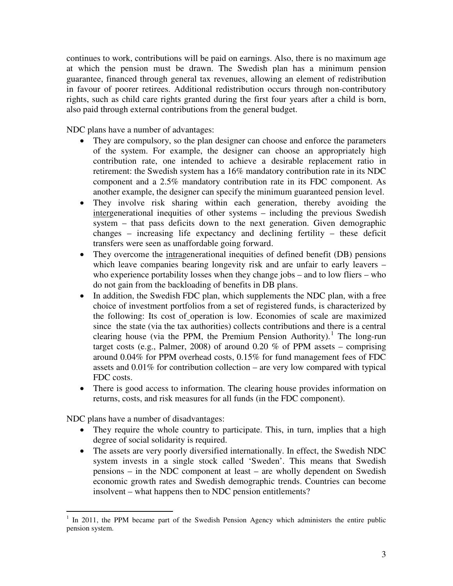continues to work, contributions will be paid on earnings. Also, there is no maximum age at which the pension must be drawn. The Swedish plan has a minimum pension guarantee, financed through general tax revenues, allowing an element of redistribution in favour of poorer retirees. Additional redistribution occurs through non-contributory rights, such as child care rights granted during the first four years after a child is born, also paid through external contributions from the general budget.

NDC plans have a number of advantages:

- They are compulsory, so the plan designer can choose and enforce the parameters of the system. For example, the designer can choose an appropriately high contribution rate, one intended to achieve a desirable replacement ratio in retirement: the Swedish system has a 16% mandatory contribution rate in its NDC component and a 2.5% mandatory contribution rate in its FDC component. As another example, the designer can specify the minimum guaranteed pension level.
- They involve risk sharing within each generation, thereby avoiding the intergenerational inequities of other systems – including the previous Swedish system – that pass deficits down to the next generation. Given demographic changes – increasing life expectancy and declining fertility – these deficit transfers were seen as unaffordable going forward.
- They overcome the intragenerational inequities of defined benefit (DB) pensions which leave companies bearing longevity risk and are unfair to early leavers – who experience portability losses when they change jobs – and to low fliers – who do not gain from the backloading of benefits in DB plans.
- In addition, the Swedish FDC plan, which supplements the NDC plan, with a free choice of investment portfolios from a set of registered funds, is characterized by the following: Its cost of operation is low. Economies of scale are maximized since the state (via the tax authorities) collects contributions and there is a central clearing house (via the PPM, the Premium Pension Authority).<sup>[1](#page-4-0)</sup> The long-run target costs (e.g., Palmer, 2008) of around 0.20 % of PPM assets – comprising around 0.04% for PPM overhead costs, 0.15% for fund management fees of FDC assets and 0.01% for contribution collection – are very low compared with typical FDC costs.
- There is good access to information. The clearing house provides information on returns, costs, and risk measures for all funds (in the FDC component).

NDC plans have a number of disadvantages:

- They require the whole country to participate. This, in turn, implies that a high degree of social solidarity is required.
- The assets are very poorly diversified internationally. In effect, the Swedish NDC system invests in a single stock called 'Sweden'. This means that Swedish pensions – in the NDC component at least – are wholly dependent on Swedish economic growth rates and Swedish demographic trends. Countries can become insolvent – what happens then to NDC pension entitlements?

<span id="page-4-0"></span><sup>&</sup>lt;sup>1</sup> In 2011, the PPM became part of the Swedish Pension Agency which administers the entire public pension system.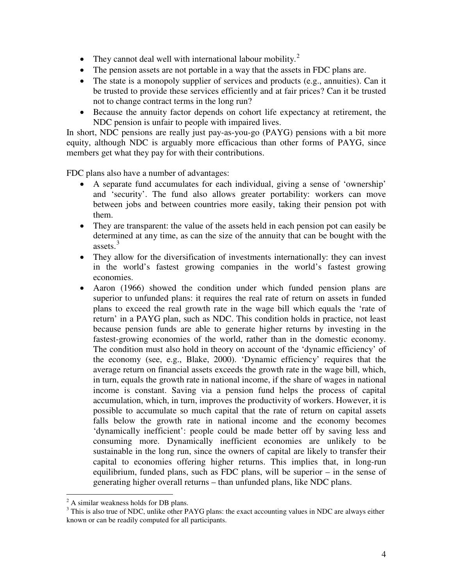- They cannot deal well with international labour mobility.<sup>[2](#page-5-0)</sup>
- The pension assets are not portable in a way that the assets in FDC plans are.
- The state is a monopoly supplier of services and products (e.g., annuities). Can it be trusted to provide these services efficiently and at fair prices? Can it be trusted not to change contract terms in the long run?
- Because the annuity factor depends on cohort life expectancy at retirement, the NDC pension is unfair to people with impaired lives.

In short, NDC pensions are really just pay-as-you-go (PAYG) pensions with a bit more equity, although NDC is arguably more efficacious than other forms of PAYG, since members get what they pay for with their contributions.

FDC plans also have a number of advantages:

- A separate fund accumulates for each individual, giving a sense of 'ownership' and 'security'. The fund also allows greater portability: workers can move between jobs and between countries more easily, taking their pension pot with them.
- They are transparent: the value of the assets held in each pension pot can easily be determined at any time, as can the size of the annuity that can be bought with the assets. [3](#page-5-1)
- They allow for the diversification of investments internationally: they can invest in the world's fastest growing companies in the world's fastest growing economies.
- Aaron (1966) showed the condition under which funded pension plans are superior to unfunded plans: it requires the real rate of return on assets in funded plans to exceed the real growth rate in the wage bill which equals the 'rate of return' in a PAYG plan, such as NDC. This condition holds in practice, not least because pension funds are able to generate higher returns by investing in the fastest-growing economies of the world, rather than in the domestic economy. The condition must also hold in theory on account of the 'dynamic efficiency' of the economy (see, e.g., Blake, 2000). 'Dynamic efficiency' requires that the average return on financial assets exceeds the growth rate in the wage bill, which, in turn, equals the growth rate in national income, if the share of wages in national income is constant. Saving via a pension fund helps the process of capital accumulation, which, in turn, improves the productivity of workers. However, it is possible to accumulate so much capital that the rate of return on capital assets falls below the growth rate in national income and the economy becomes 'dynamically inefficient': people could be made better off by saving less and consuming more. Dynamically inefficient economies are unlikely to be sustainable in the long run, since the owners of capital are likely to transfer their capital to economies offering higher returns. This implies that, in long-run equilibrium, funded plans, such as FDC plans, will be superior – in the sense of generating higher overall returns – than unfunded plans, like NDC plans.

 $\overline{a}$  $2^2$  A similar weakness holds for DB plans.

<span id="page-5-1"></span><span id="page-5-0"></span><sup>&</sup>lt;sup>3</sup> This is also true of NDC, unlike other PAYG plans: the exact accounting values in NDC are always either known or can be readily computed for all participants.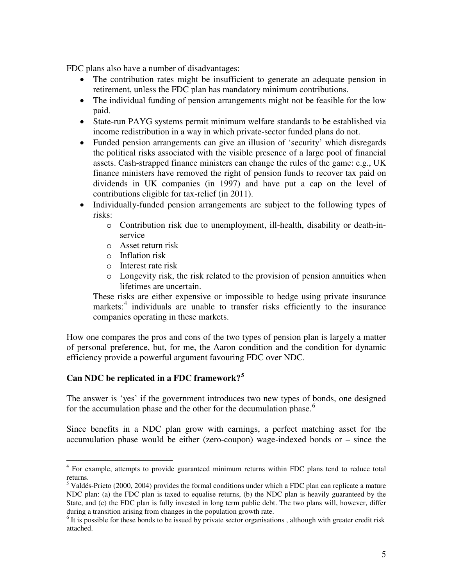FDC plans also have a number of disadvantages:

- The contribution rates might be insufficient to generate an adequate pension in retirement, unless the FDC plan has mandatory minimum contributions.
- The individual funding of pension arrangements might not be feasible for the low paid.
- State-run PAYG systems permit minimum welfare standards to be established via income redistribution in a way in which private-sector funded plans do not.
- Funded pension arrangements can give an illusion of 'security' which disregards the political risks associated with the visible presence of a large pool of financial assets. Cash-strapped finance ministers can change the rules of the game: e.g., UK finance ministers have removed the right of pension funds to recover tax paid on dividends in UK companies (in 1997) and have put a cap on the level of contributions eligible for tax-relief (in 2011).
- Individually-funded pension arrangements are subject to the following types of risks:
	- o Contribution risk due to unemployment, ill-health, disability or death-inservice
	- o Asset return risk
	- o Inflation risk
	- o Interest rate risk
	- o Longevity risk, the risk related to the provision of pension annuities when lifetimes are uncertain.

These risks are either expensive or impossible to hedge using private insurance markets:<sup>[4](#page-6-0)</sup> individuals are unable to transfer risks efficiently to the insurance companies operating in these markets.

How one compares the pros and cons of the two types of pension plan is largely a matter of personal preference, but, for me, the Aaron condition and the condition for dynamic efficiency provide a powerful argument favouring FDC over NDC.

#### **Can NDC be replicated in a FDC framework?[5](#page-6-1)**

The answer is 'yes' if the government introduces two new types of bonds, one designed for the accumulation phase and the other for the decumulation phase.<sup>[6](#page-6-2)</sup>

Since benefits in a NDC plan grow with earnings, a perfect matching asset for the accumulation phase would be either (zero-coupon) wage-indexed bonds or – since the

<span id="page-6-0"></span><sup>&</sup>lt;sup>4</sup> For example, attempts to provide guaranteed minimum returns within FDC plans tend to reduce total returns.

<span id="page-6-1"></span><sup>&</sup>lt;sup>5</sup> Valdés-Prieto (2000, 2004) provides the formal conditions under which a FDC plan can replicate a mature NDC plan: (a) the FDC plan is taxed to equalise returns, (b) the NDC plan is heavily guaranteed by the State, and (c) the FDC plan is fully invested in long term public debt. The two plans will, however, differ during a transition arising from changes in the population growth rate.

<span id="page-6-2"></span> $<sup>6</sup>$  It is possible for these bonds to be issued by private sector organisations, although with greater credit risk</sup> attached.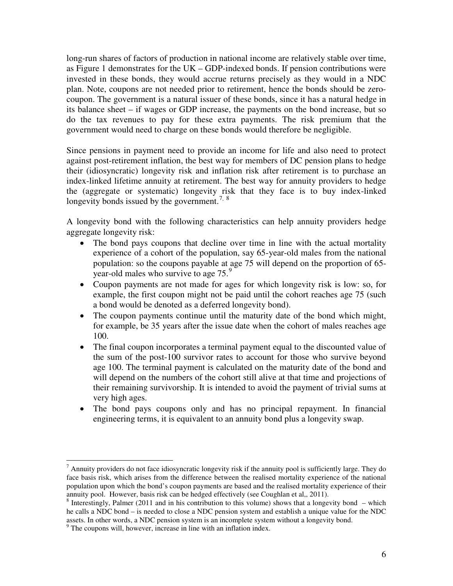long-run shares of factors of production in national income are relatively stable over time, as Figure 1 demonstrates for the UK – GDP-indexed bonds. If pension contributions were invested in these bonds, they would accrue returns precisely as they would in a NDC plan. Note, coupons are not needed prior to retirement, hence the bonds should be zerocoupon. The government is a natural issuer of these bonds, since it has a natural hedge in its balance sheet – if wages or GDP increase, the payments on the bond increase, but so do the tax revenues to pay for these extra payments. The risk premium that the government would need to charge on these bonds would therefore be negligible.

Since pensions in payment need to provide an income for life and also need to protect against post-retirement inflation, the best way for members of DC pension plans to hedge their (idiosyncratic) longevity risk and inflation risk after retirement is to purchase an index-linked lifetime annuity at retirement. The best way for annuity providers to hedge the (aggregate or systematic) longevity risk that they face is to buy index-linked longevity bonds issued by the government.<sup>[7](#page-7-0), [8](#page-7-1)</sup>

A longevity bond with the following characteristics can help annuity providers hedge aggregate longevity risk:

- The bond pays coupons that decline over time in line with the actual mortality experience of a cohort of the population, say 65-year-old males from the national population: so the coupons payable at age 75 will depend on the proportion of 65- year-old males who survive to age 75.<sup>[9](#page-7-2)</sup>
- Coupon payments are not made for ages for which longevity risk is low: so, for example, the first coupon might not be paid until the cohort reaches age 75 (such a bond would be denoted as a deferred longevity bond).
- The coupon payments continue until the maturity date of the bond which might, for example, be 35 years after the issue date when the cohort of males reaches age 100.
- The final coupon incorporates a terminal payment equal to the discounted value of the sum of the post-100 survivor rates to account for those who survive beyond age 100. The terminal payment is calculated on the maturity date of the bond and will depend on the numbers of the cohort still alive at that time and projections of their remaining survivorship. It is intended to avoid the payment of trivial sums at very high ages.
- The bond pays coupons only and has no principal repayment. In financial engineering terms, it is equivalent to an annuity bond plus a longevity swap.

 $\overline{a}$ 

<span id="page-7-0"></span><sup>&</sup>lt;sup>7</sup> Annuity providers do not face idiosyncratic longevity risk if the annuity pool is sufficiently large. They do face basis risk, which arises from the difference between the realised mortality experience of the national population upon which the bond's coupon payments are based and the realised mortality experience of their annuity pool. However, basis risk can be hedged effectively (see Coughlan et al,, 2011).

<span id="page-7-1"></span> $8$  Interestingly, Palmer (2011 and in his contribution to this volume) shows that a longevity bond – which he calls a NDC bond – is needed to close a NDC pension system and establish a unique value for the NDC assets. In other words, a NDC pension system is an incomplete system without a longevity bond.

<span id="page-7-2"></span> $9<sup>9</sup>$  The coupons will, however, increase in line with an inflation index.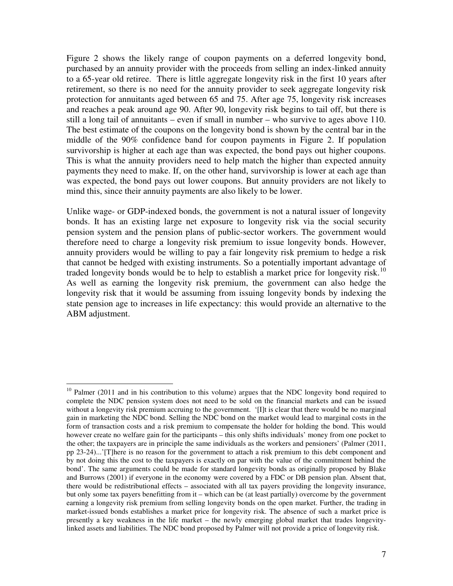Figure 2 shows the likely range of coupon payments on a deferred longevity bond, purchased by an annuity provider with the proceeds from selling an index-linked annuity to a 65-year old retiree. There is little aggregate longevity risk in the first 10 years after retirement, so there is no need for the annuity provider to seek aggregate longevity risk protection for annuitants aged between 65 and 75. After age 75, longevity risk increases and reaches a peak around age 90. After 90, longevity risk begins to tail off, but there is still a long tail of annuitants – even if small in number – who survive to ages above 110. The best estimate of the coupons on the longevity bond is shown by the central bar in the middle of the 90% confidence band for coupon payments in Figure 2. If population survivorship is higher at each age than was expected, the bond pays out higher coupons. This is what the annuity providers need to help match the higher than expected annuity payments they need to make. If, on the other hand, survivorship is lower at each age than was expected, the bond pays out lower coupons. But annuity providers are not likely to mind this, since their annuity payments are also likely to be lower.

Unlike wage- or GDP-indexed bonds, the government is not a natural issuer of longevity bonds. It has an existing large net exposure to longevity risk via the social security pension system and the pension plans of public-sector workers. The government would therefore need to charge a longevity risk premium to issue longevity bonds. However, annuity providers would be willing to pay a fair longevity risk premium to hedge a risk that cannot be hedged with existing instruments. So a potentially important advantage of traded longevity bonds would be to help to establish a market price for longevity risk.<sup>[10](#page-8-0)</sup> As well as earning the longevity risk premium, the government can also hedge the longevity risk that it would be assuming from issuing longevity bonds by indexing the state pension age to increases in life expectancy: this would provide an alternative to the ABM adjustment.

 $\overline{a}$ 

<span id="page-8-0"></span> $10$  Palmer (2011 and in his contribution to this volume) argues that the NDC longevity bond required to complete the NDC pension system does not need to be sold on the financial markets and can be issued without a longevity risk premium accruing to the government. '[I]t is clear that there would be no marginal gain in marketing the NDC bond. Selling the NDC bond on the market would lead to marginal costs in the form of transaction costs and a risk premium to compensate the holder for holding the bond. This would however create no welfare gain for the participants – this only shifts individuals' money from one pocket to the other; the taxpayers are in principle the same individuals as the workers and pensioners' (Palmer (2011, pp 23-24)...'[T]here is no reason for the government to attach a risk premium to this debt component and by not doing this the cost to the taxpayers is exactly on par with the value of the commitment behind the bond'. The same arguments could be made for standard longevity bonds as originally proposed by Blake and Burrows (2001) if everyone in the economy were covered by a FDC or DB pension plan. Absent that, there would be redistributional effects – associated with all tax payers providing the longevity insurance, but only some tax payers benefitting from it – which can be (at least partially) overcome by the government earning a longevity risk premium from selling longevity bonds on the open market. Further, the trading in market-issued bonds establishes a market price for longevity risk. The absence of such a market price is presently a key weakness in the life market – the newly emerging global market that trades longevitylinked assets and liabilities. The NDC bond proposed by Palmer will not provide a price of longevity risk.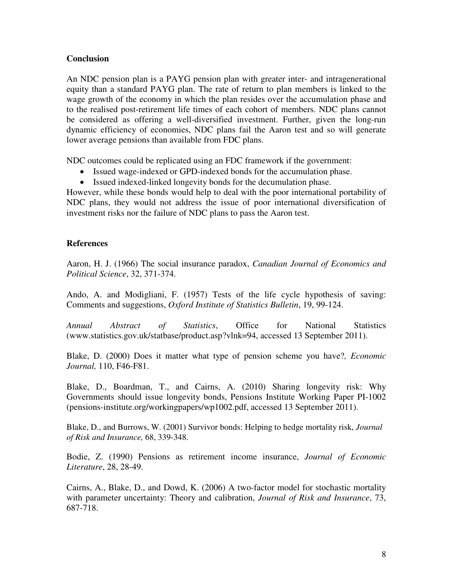#### **Conclusion**

An NDC pension plan is a PAYG pension plan with greater inter- and intragenerational equity than a standard PAYG plan. The rate of return to plan members is linked to the wage growth of the economy in which the plan resides over the accumulation phase and to the realised post-retirement life times of each cohort of members. NDC plans cannot be considered as offering a well-diversified investment. Further, given the long-run dynamic efficiency of economies, NDC plans fail the Aaron test and so will generate lower average pensions than available from FDC plans.

NDC outcomes could be replicated using an FDC framework if the government:

- Issued wage-indexed or GPD-indexed bonds for the accumulation phase.
- Issued indexed-linked longevity bonds for the decumulation phase.

However, while these bonds would help to deal with the poor international portability of NDC plans, they would not address the issue of poor international diversification of investment risks nor the failure of NDC plans to pass the Aaron test.

#### **References**

Aaron, H. J. (1966) The social insurance paradox, *Canadian Journal of Economics and Political Science*, 32, 371-374.

Ando, A. and Modigliani, F. (1957) Tests of the life cycle hypothesis of saving: Comments and suggestions, *Oxford Institute of Statistics Bulletin*, 19, 99-124.

*Annual Abstract of Statistics*, Office for National Statistics (www.statistics.gov.uk/statbase/product.asp?vlnk=94, accessed 13 September 2011).

Blake, D. (2000) Does it matter what type of pension scheme you have?*, Economic Journal,* 110, F46-F81.

Blake, D., Boardman, T., and Cairns, A. (2010) Sharing longevity risk: Why Governments should issue longevity bonds, Pensions Institute Working Paper PI-1002 (pensions-institute.org/workingpapers/wp1002.pdf, accessed 13 September 2011).

Blake, D., and Burrows, W. (2001) Survivor bonds: Helping to hedge mortality risk, *Journal of Risk and Insurance,* 68, 339-348.

Bodie, Z. (1990) Pensions as retirement income insurance, *Journal of Economic Literature*, 28, 28-49.

Cairns, A., Blake, D., and Dowd, K. (2006) A two-factor model for stochastic mortality with parameter uncertainty: Theory and calibration, *Journal of Risk and Insurance*, 73, 687-718.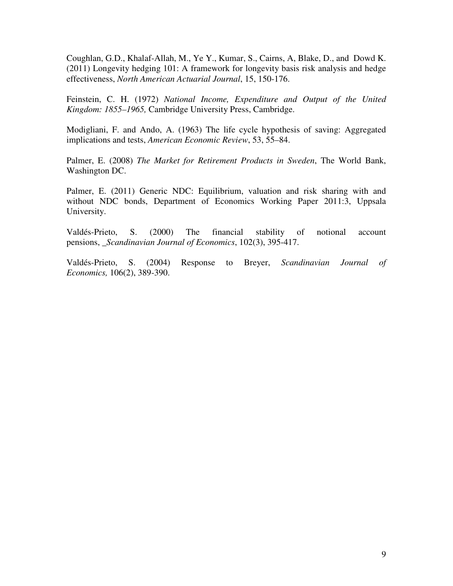Coughlan, G.D., Khalaf-Allah, M., Ye Y., Kumar, S., Cairns, A, Blake, D., and Dowd K. (2011) Longevity hedging 101: A framework for longevity basis risk analysis and hedge effectiveness, *North American Actuarial Journal*, 15, 150-176.

Feinstein, C. H. (1972) *National Income, Expenditure and Output of the United Kingdom: 1855–1965,* Cambridge University Press, Cambridge.

Modigliani, F. and Ando, A. (1963) The life cycle hypothesis of saving: Aggregated implications and tests, *American Economic Review*, 53, 55–84.

Palmer, E. (2008) *The Market for Retirement Products in Sweden*, The World Bank, Washington DC.

Palmer, E. (2011) Generic NDC: Equilibrium, valuation and risk sharing with and without NDC bonds, Department of Economics Working Paper 2011:3, Uppsala University.

Valdés-Prieto, S. (2000) The financial stability of notional account pensions, \_*Scandinavian Journal of Economics*, 102(3), 395-417.

Valdés-Prieto, S. (2004) Response to Breyer, *Scandinavian Journal of Economics,* 106(2), 389-390.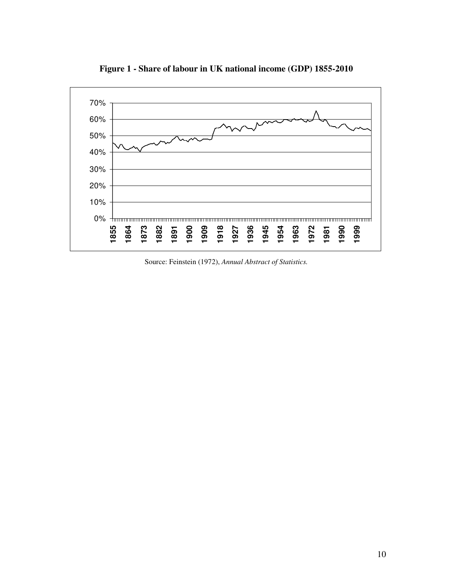

**Figure 1 - Share of labour in UK national income (GDP) 1855-2010**

Source: Feinstein (1972), *Annual Abstract of Statistics.*